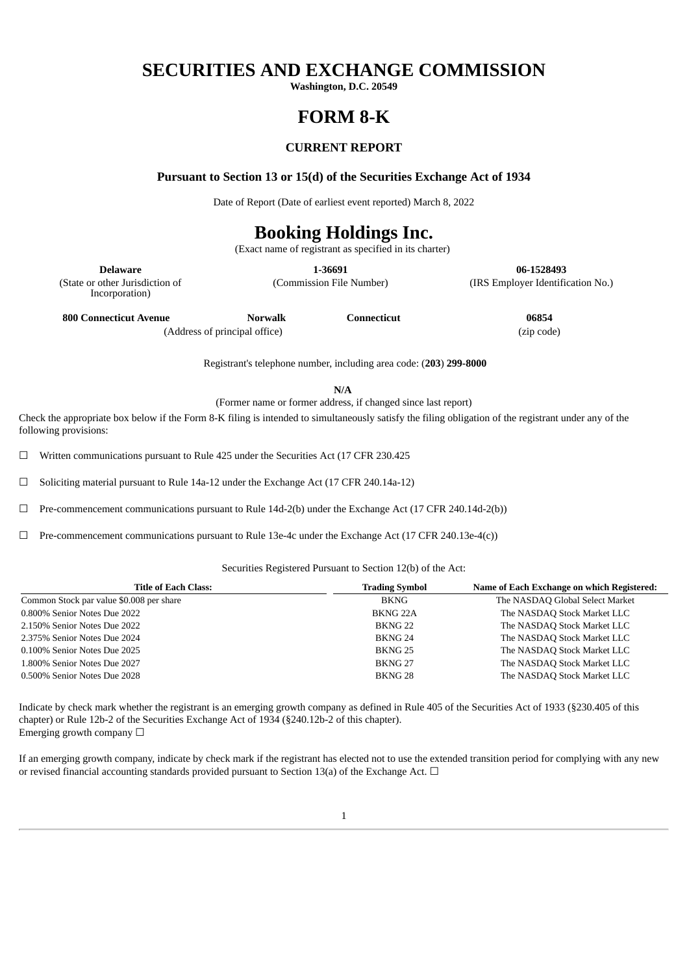## **SECURITIES AND EXCHANGE COMMISSION**

**Washington, D.C. 20549**

## **FORM 8-K**

### **CURRENT REPORT**

**Pursuant to Section 13 or 15(d) of the Securities Exchange Act of 1934**

Date of Report (Date of earliest event reported) March 8, 2022

# **Booking Holdings Inc.**

(Exact name of registrant as specified in its charter)

**Delaware 1-36691 06-1528493**

(Commission File Number) (IRS Employer Identification No.)

(State or other Jurisdiction of Incorporation)

**800 Connecticut Avenue Norwalk Connecticut 06854**

(Address of principal office) (zip code)

Registrant's telephone number, including area code: (**203**) **299-8000**

**N/A**

(Former name or former address, if changed since last report)

Check the appropriate box below if the Form 8-K filing is intended to simultaneously satisfy the filing obligation of the registrant under any of the following provisions:

 $\Box$  Written communications pursuant to Rule 425 under the Securities Act (17 CFR 230.425

☐ Soliciting material pursuant to Rule 14a-12 under the Exchange Act (17 CFR 240.14a-12)

 $\Box$  Pre-commencement communications pursuant to Rule 14d-2(b) under the Exchange Act (17 CFR 240.14d-2(b))

☐ Pre-commencement communications pursuant to Rule 13e-4c under the Exchange Act (17 CFR 240.13e-4(c))

#### Securities Registered Pursuant to Section 12(b) of the Act:

| <b>Title of Each Class:</b>              | <b>Trading Symbol</b> | Name of Each Exchange on which Registered: |
|------------------------------------------|-----------------------|--------------------------------------------|
| Common Stock par value \$0.008 per share | BKNG                  | The NASDAQ Global Select Market            |
| 0.800% Senior Notes Due 2022             | BKNG <sub>22A</sub>   | The NASDAQ Stock Market LLC                |
| 2.150% Senior Notes Due 2022             | BKNG <sub>22</sub>    | The NASDAQ Stock Market LLC                |
| 2.375% Senior Notes Due 2024             | BKNG 24               | The NASDAQ Stock Market LLC                |
| 0.100% Senior Notes Due 2025             | BKNG 25               | The NASDAQ Stock Market LLC                |
| 1.800% Senior Notes Due 2027             | BKNG <sub>27</sub>    | The NASDAQ Stock Market LLC                |
| 0.500% Senior Notes Due 2028             | BKNG <sub>28</sub>    | The NASDAQ Stock Market LLC                |

Indicate by check mark whether the registrant is an emerging growth company as defined in Rule 405 of the Securities Act of 1933 (§230.405 of this chapter) or Rule 12b-2 of the Securities Exchange Act of 1934 (§240.12b-2 of this chapter). Emerging growth company  $\Box$ 

If an emerging growth company, indicate by check mark if the registrant has elected not to use the extended transition period for complying with any new or revised financial accounting standards provided pursuant to Section 13(a) of the Exchange Act.  $\Box$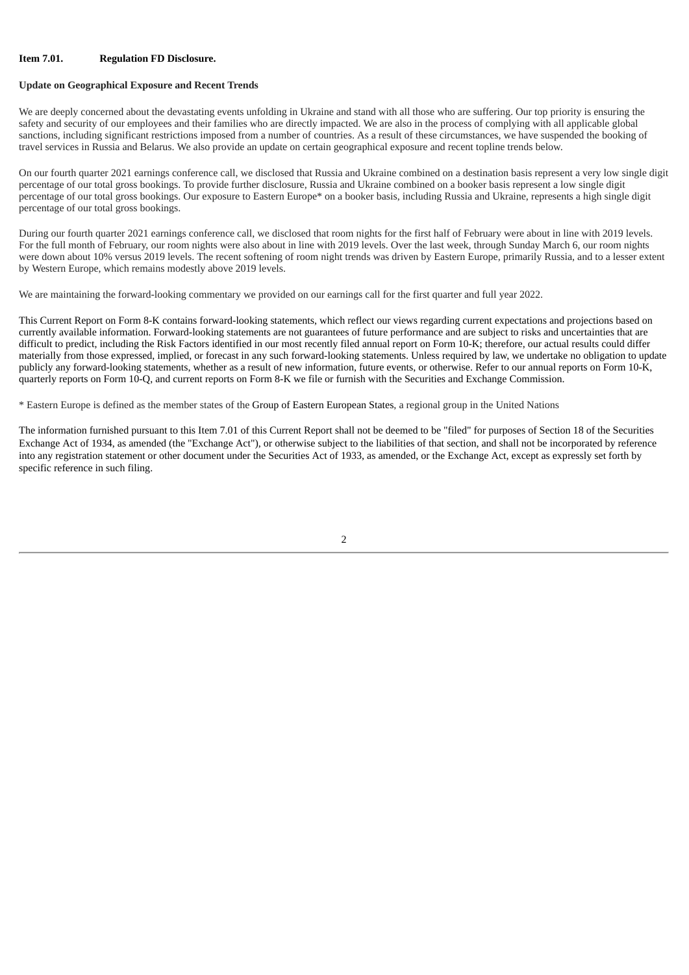#### **Item 7.01. Regulation FD Disclosure.**

#### **Update on Geographical Exposure and Recent Trends**

We are deeply concerned about the devastating events unfolding in Ukraine and stand with all those who are suffering. Our top priority is ensuring the safety and security of our employees and their families who are directly impacted. We are also in the process of complying with all applicable global sanctions, including significant restrictions imposed from a number of countries. As a result of these circumstances, we have suspended the booking of travel services in Russia and Belarus. We also provide an update on certain geographical exposure and recent topline trends below.

On our fourth quarter 2021 earnings conference call, we disclosed that Russia and Ukraine combined on a destination basis represent a very low single digit percentage of our total gross bookings. To provide further disclosure, Russia and Ukraine combined on a booker basis represent a low single digit percentage of our total gross bookings. Our exposure to Eastern Europe\* on a booker basis, including Russia and Ukraine, represents a high single digit percentage of our total gross bookings.

During our fourth quarter 2021 earnings conference call, we disclosed that room nights for the first half of February were about in line with 2019 levels. For the full month of February, our room nights were also about in line with 2019 levels. Over the last week, through Sunday March 6, our room nights were down about 10% versus 2019 levels. The recent softening of room night trends was driven by Eastern Europe, primarily Russia, and to a lesser extent by Western Europe, which remains modestly above 2019 levels.

We are maintaining the forward-looking commentary we provided on our earnings call for the first quarter and full year 2022.

This Current Report on Form 8-K contains forward-looking statements, which reflect our views regarding current expectations and projections based on currently available information. Forward-looking statements are not guarantees of future performance and are subject to risks and uncertainties that are difficult to predict, including the Risk Factors identified in our most recently filed annual report on Form 10-K; therefore, our actual results could differ materially from those expressed, implied, or forecast in any such forward-looking statements. Unless required by law, we undertake no obligation to update publicly any forward-looking statements, whether as a result of new information, future events, or otherwise. Refer to our annual reports on Form 10-K, quarterly reports on Form 10-Q, and current reports on Form 8-K we file or furnish with the Securities and Exchange Commission.

\* Eastern Europe is defined as the member states of the Group of Eastern European States, a regional group in the United Nations

The information furnished pursuant to this Item 7.01 of this Current Report shall not be deemed to be "filed" for purposes of Section 18 of the Securities Exchange Act of 1934, as amended (the "Exchange Act"), or otherwise subject to the liabilities of that section, and shall not be incorporated by reference into any registration statement or other document under the Securities Act of 1933, as amended, or the Exchange Act, except as expressly set forth by specific reference in such filing.